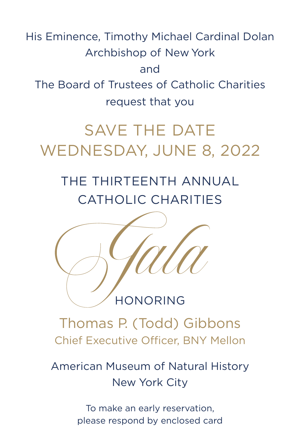His Eminence, Timothy Michael Cardinal Dolan Archbishop of New York and The Board of Trustees of Catholic Charities request that you

# SAVE THE DATE WEDNESDAY, JUNE 8, 2022

## THE THIRTEENTH ANNUAL CATHOLIC CHARITIES



### HONORING

Thomas P. (Todd) Gibbons Chief Executive Officer, BNY Mellon

## American Museum of Natural History New York City

To make an early reservation, please respond by enclosed card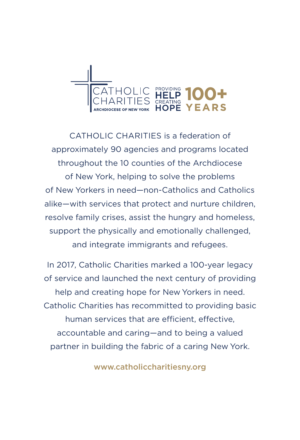

CATHOLIC CHARITIES is a federation of approximately 90 agencies and programs located throughout the 10 counties of the Archdiocese of New York, helping to solve the problems of New Yorkers in need—non-Catholics and Catholics alike—with services that protect and nurture children, resolve family crises, assist the hungry and homeless, support the physically and emotionally challenged, and integrate immigrants and refugees.

In 2017, Catholic Charities marked a 100-year legacy of service and launched the next century of providing help and creating hope for New Yorkers in need. Catholic Charities has recommitted to providing basic human services that are efficient, effective, accountable and caring—and to being a valued partner in building the fabric of a caring New York.

www.catholiccharitiesny.org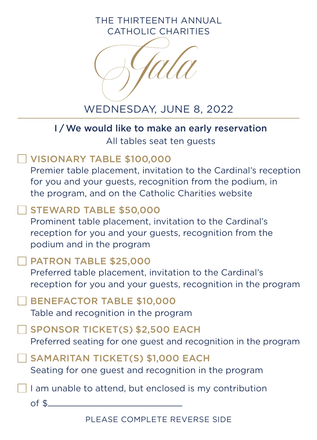THE THIRTEENTH ANNUAL CATHOLIC CHARITIES



WEDNESDAY, JUNE 8, 2022

#### I / We would like to make an early reservation

All tables seat ten guests

#### VISIONARY TABLE \$100,000

Premier table placement, invitation to the Cardinal's reception for you and your guests, recognition from the podium, in the program, and on the Catholic Charities website

#### STEWARD TABLE \$50,000

Prominent table placement, invitation to the Cardinal's reception for you and your guests, recognition from the podium and in the program

#### PATRON TABLE \$25,000

Preferred table placement, invitation to the Cardinal's reception for you and your guests, recognition in the program

BENEFACTOR TABLE \$10,000 Table and recognition in the program

SPONSOR TICKET(S) \$2,500 EACH

Preferred seating for one guest and recognition in the program

SAMARITAN TICKET(S) \$1,000 EACH Seating for one guest and recognition in the program

I am unable to attend, but enclosed is my contribution

of \$

PLEASE COMPLETE REVERSE SIDE